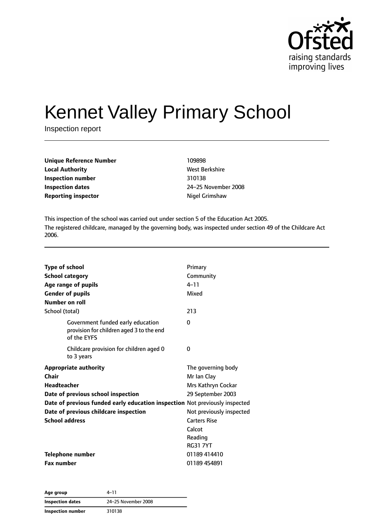

# Kennet Valley Primary School

Inspection report

| <b>Unique Reference Number</b> | 109898         |
|--------------------------------|----------------|
| <b>Local Authority</b>         | West Berkshire |
| Inspection number              | 310138         |
| <b>Inspection dates</b>        | 24-25 Novembe  |
| <b>Reporting inspector</b>     | Nigel Grimshaw |

**West Berkshire Inspection dates** 24–25 November 2008

This inspection of the school was carried out under section 5 of the Education Act 2005. The registered childcare, managed by the governing body, was inspected under section 49 of the Childcare Act 2006.

| <b>Type of school</b><br><b>School category</b><br>Age range of pupils<br><b>Gender of pupils</b> | Primary<br>Community<br>$4 - 11$<br>Mixed |
|---------------------------------------------------------------------------------------------------|-------------------------------------------|
| Number on roll                                                                                    |                                           |
| School (total)                                                                                    | 213                                       |
| Government funded early education<br>provision for children aged 3 to the end<br>of the EYFS      | $\Omega$                                  |
| Childcare provision for children aged 0<br>to 3 years                                             | 0                                         |
| <b>Appropriate authority</b>                                                                      | The governing body                        |
| Chair                                                                                             | Mr Ian Clay                               |
| <b>Headteacher</b>                                                                                | Mrs Kathryn Cockar                        |
| Date of previous school inspection                                                                | 29 September 2003                         |
| Date of previous funded early education inspection Not previously inspected                       |                                           |
| Date of previous childcare inspection                                                             | Not previously inspected                  |
| <b>School address</b>                                                                             | <b>Carters Rise</b>                       |
|                                                                                                   | Calcot                                    |
|                                                                                                   | Reading                                   |
|                                                                                                   | <b>RG31 7YT</b>                           |
| <b>Telephone number</b>                                                                           | 01189 414410                              |
| <b>Fax number</b>                                                                                 | 01189 454891                              |

| Age group               | 4–11                |
|-------------------------|---------------------|
| <b>Inspection dates</b> | 24-25 November 2008 |
| Inspection number       | 310138              |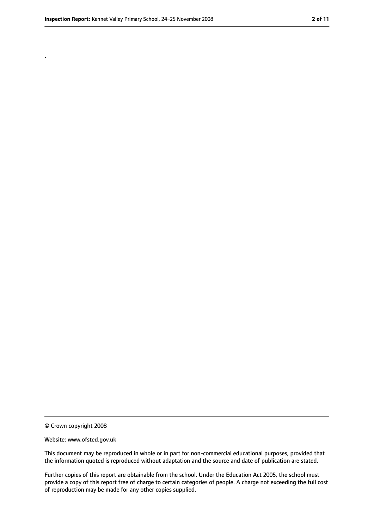.

<sup>©</sup> Crown copyright 2008

Website: www.ofsted.gov.uk

This document may be reproduced in whole or in part for non-commercial educational purposes, provided that the information quoted is reproduced without adaptation and the source and date of publication are stated.

Further copies of this report are obtainable from the school. Under the Education Act 2005, the school must provide a copy of this report free of charge to certain categories of people. A charge not exceeding the full cost of reproduction may be made for any other copies supplied.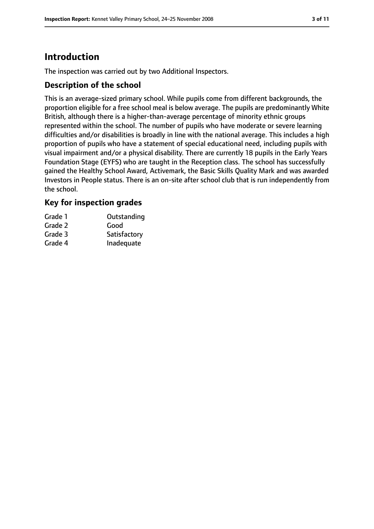# **Introduction**

The inspection was carried out by two Additional Inspectors.

## **Description of the school**

This is an average-sized primary school. While pupils come from different backgrounds, the proportion eligible for a free school meal is below average. The pupils are predominantly White British, although there is a higher-than-average percentage of minority ethnic groups represented within the school. The number of pupils who have moderate or severe learning difficulties and/or disabilities is broadly in line with the national average. This includes a high proportion of pupils who have a statement of special educational need, including pupils with visual impairment and/or a physical disability. There are currently 18 pupils in the Early Years Foundation Stage (EYFS) who are taught in the Reception class. The school has successfully gained the Healthy School Award, Activemark, the Basic Skills Quality Mark and was awarded Investors in People status. There is an on-site after school club that is run independently from the school.

## **Key for inspection grades**

| Grade 1 | Outstanding  |
|---------|--------------|
| Grade 2 | Good         |
| Grade 3 | Satisfactory |
| Grade 4 | Inadequate   |
|         |              |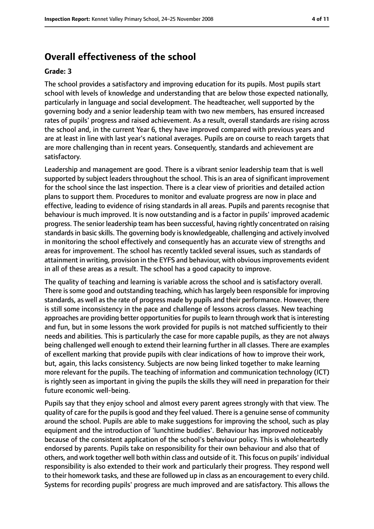# **Overall effectiveness of the school**

#### **Grade: 3**

The school provides a satisfactory and improving education for its pupils. Most pupils start school with levels of knowledge and understanding that are below those expected nationally, particularly in language and social development. The headteacher, well supported by the governing body and a senior leadership team with two new members, has ensured increased rates of pupils' progress and raised achievement. As a result, overall standards are rising across the school and, in the current Year 6, they have improved compared with previous years and are at least in line with last year's national averages. Pupils are on course to reach targets that are more challenging than in recent years. Consequently, standards and achievement are satisfactory.

Leadership and management are good. There is a vibrant senior leadership team that is well supported by subject leaders throughout the school. This is an area of significant improvement for the school since the last inspection. There is a clear view of priorities and detailed action plans to support them. Procedures to monitor and evaluate progress are now in place and effective, leading to evidence of rising standards in all areas. Pupils and parents recognise that behaviour is much improved. It is now outstanding and is a factor in pupils' improved academic progress. The senior leadership team has been successful, having rightly concentrated on raising standardsin basic skills. The governing body is knowledgeable, challenging and actively involved in monitoring the school effectively and consequently has an accurate view of strengths and areas for improvement. The school has recently tackled several issues, such as standards of attainment in writing, provision in the EYFS and behaviour, with obvious improvements evident in all of these areas as a result. The school has a good capacity to improve.

The quality of teaching and learning is variable across the school and is satisfactory overall. There is some good and outstanding teaching, which has largely been responsible for improving standards, as well as the rate of progress made by pupils and their performance. However, there is still some inconsistency in the pace and challenge of lessons across classes. New teaching approaches are providing better opportunities for pupils to learn through work that is interesting and fun, but in some lessons the work provided for pupils is not matched sufficiently to their needs and abilities. This is particularly the case for more capable pupils, as they are not always being challenged well enough to extend their learning further in all classes. There are examples of excellent marking that provide pupils with clear indications of how to improve their work, but, again, this lacks consistency. Subjects are now being linked together to make learning more relevant for the pupils. The teaching of information and communication technology (ICT) is rightly seen as important in giving the pupils the skills they will need in preparation for their future economic well-being.

Pupils say that they enjoy school and almost every parent agrees strongly with that view. The quality of care for the pupilsis good and they feel valued. There is a genuine sense of community around the school. Pupils are able to make suggestions for improving the school, such as play equipment and the introduction of 'lunchtime buddies'. Behaviour has improved noticeably because of the consistent application of the school's behaviour policy. This is wholeheartedly endorsed by parents. Pupils take on responsibility for their own behaviour and also that of others, and work together well both within class and outside of it. Thisfocus on pupils' individual responsibility is also extended to their work and particularly their progress. They respond well to their homework tasks, and these are followed up in class as an encouragement to every child. Systems for recording pupils' progress are much improved and are satisfactory. This allows the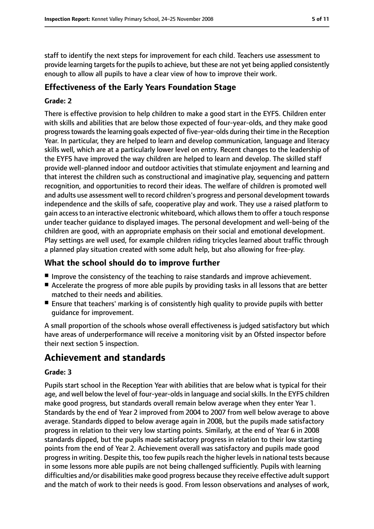staff to identify the next steps for improvement for each child. Teachers use assessment to provide learning targets for the pupils to achieve, but these are not yet being applied consistently enough to allow all pupils to have a clear view of how to improve their work.

# **Effectiveness of the Early Years Foundation Stage**

#### **Grade: 2**

There is effective provision to help children to make a good start in the EYFS. Children enter with skills and abilities that are below those expected of four-year-olds, and they make good progress towards the learning goals expected of five-year-olds during their time in the Reception Year. In particular, they are helped to learn and develop communication, language and literacy skills well, which are at a particularly lower level on entry. Recent changes to the leadership of the EYFS have improved the way children are helped to learn and develop. The skilled staff provide well-planned indoor and outdoor activities that stimulate enjoyment and learning and that interest the children such as constructional and imaginative play, sequencing and pattern recognition, and opportunities to record their ideas. The welfare of children is promoted well and adults use assessment well to record children's progress and personal development towards independence and the skills of safe, cooperative play and work. They use a raised platform to gain accessto an interactive electronic whiteboard, which allowsthem to offer a touch response under teacher guidance to displayed images. The personal development and well-being of the children are good, with an appropriate emphasis on their social and emotional development. Play settings are well used, for example children riding tricycles learned about traffic through a planned play situation created with some adult help, but also allowing for free-play.

## **What the school should do to improve further**

- Improve the consistency of the teaching to raise standards and improve achievement.
- Accelerate the progress of more able pupils by providing tasks in all lessons that are better matched to their needs and abilities.
- Ensure that teachers' marking is of consistently high quality to provide pupils with better guidance for improvement.

A small proportion of the schools whose overall effectiveness is judged satisfactory but which have areas of underperformance will receive a monitoring visit by an Ofsted inspector before their next section 5 inspection.

# **Achievement and standards**

#### **Grade: 3**

Pupils start school in the Reception Year with abilities that are below what is typical for their age, and well below the level of four-year-oldsin language and socialskills. In the EYFS children make good progress, but standards overall remain below average when they enter Year 1. Standards by the end of Year 2 improved from 2004 to 2007 from well below average to above average. Standards dipped to below average again in 2008, but the pupils made satisfactory progress in relation to their very low starting points. Similarly, at the end of Year 6 in 2008 standards dipped, but the pupils made satisfactory progress in relation to their low starting points from the end of Year 2. Achievement overall was satisfactory and pupils made good progress in writing. Despite this, too few pupils reach the higher levels in national tests because in some lessons more able pupils are not being challenged sufficiently. Pupils with learning difficulties and/or disabilities make good progress because they receive effective adult support and the match of work to their needs is good. From lesson observations and analyses of work,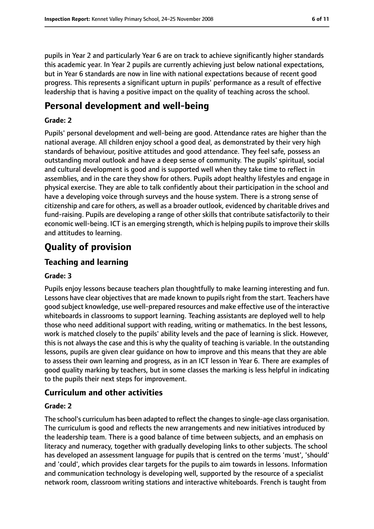pupils in Year 2 and particularly Year 6 are on track to achieve significantly higher standards this academic year. In Year 2 pupils are currently achieving just below national expectations, but in Year 6 standards are now in line with national expectations because of recent good progress. This represents a significant upturn in pupils' performance as a result of effective leadership that is having a positive impact on the quality of teaching across the school.

# **Personal development and well-being**

#### **Grade: 2**

Pupils' personal development and well-being are good. Attendance rates are higher than the national average. All children enjoy school a good deal, as demonstrated by their very high standards of behaviour, positive attitudes and good attendance. They feel safe, possess an outstanding moral outlook and have a deep sense of community. The pupils' spiritual, social and cultural development is good and is supported well when they take time to reflect in assemblies, and in the care they show for others. Pupils adopt healthy lifestyles and engage in physical exercise. They are able to talk confidently about their participation in the school and have a developing voice through surveys and the house system. There is a strong sense of citizenship and care for others, as well as a broader outlook, evidenced by charitable drives and fund-raising. Pupils are developing a range of other skills that contribute satisfactorily to their economic well-being. ICT is an emerging strength, which is helping pupils to improve their skills and attitudes to learning.

# **Quality of provision**

### **Teaching and learning**

#### **Grade: 3**

Pupils enjoy lessons because teachers plan thoughtfully to make learning interesting and fun. Lessons have clear objectives that are made known to pupils right from the start. Teachers have good subject knowledge, use well-prepared resources and make effective use of the interactive whiteboards in classrooms to support learning. Teaching assistants are deployed well to help those who need additional support with reading, writing or mathematics. In the best lessons, work is matched closely to the pupils' ability levels and the pace of learning is slick. However, this is not always the case and this is why the quality of teaching is variable. In the outstanding lessons, pupils are given clear guidance on how to improve and this means that they are able to assess their own learning and progress, as in an ICT lesson in Year 6. There are examples of good quality marking by teachers, but in some classes the marking is less helpful in indicating to the pupils their next steps for improvement.

#### **Curriculum and other activities**

#### **Grade: 2**

The school's curriculum has been adapted to reflect the changes to single-age class organisation. The curriculum is good and reflects the new arrangements and new initiatives introduced by the leadership team. There is a good balance of time between subjects, and an emphasis on literacy and numeracy, together with gradually developing links to other subjects. The school has developed an assessment language for pupils that is centred on the terms 'must', 'should' and 'could', which provides clear targets for the pupils to aim towards in lessons. Information and communication technology is developing well, supported by the resource of a specialist network room, classroom writing stations and interactive whiteboards. French is taught from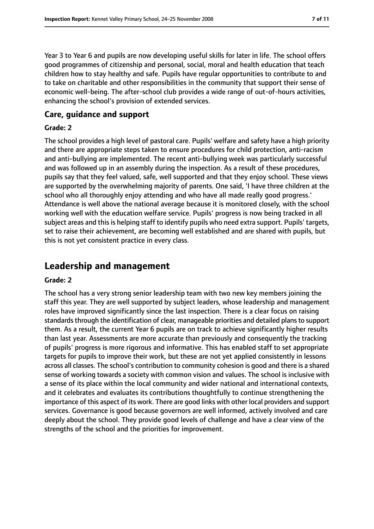Year 3 to Year 6 and pupils are now developing useful skills for later in life. The school offers good programmes of citizenship and personal, social, moral and health education that teach children how to stay healthy and safe. Pupils have regular opportunities to contribute to and to take on charitable and other responsibilities in the community that support their sense of economic well-being. The after-school club provides a wide range of out-of-hours activities, enhancing the school's provision of extended services.

## **Care, guidance and support**

#### **Grade: 2**

The school provides a high level of pastoral care. Pupils' welfare and safety have a high priority and there are appropriate steps taken to ensure procedures for child protection, anti-racism and anti-bullying are implemented. The recent anti-bullying week was particularly successful and was followed up in an assembly during the inspection. As a result of these procedures, pupils say that they feel valued, safe, well supported and that they enjoy school. These views are supported by the overwhelming majority of parents. One said, 'I have three children at the school who all thoroughly enjoy attending and who have all made really good progress.' Attendance is well above the national average because it is monitored closely, with the school working well with the education welfare service. Pupils' progress is now being tracked in all subject areas and this is helping staff to identify pupils who need extra support. Pupils' targets, set to raise their achievement, are becoming well established and are shared with pupils, but this is not yet consistent practice in every class.

# **Leadership and management**

#### **Grade: 2**

The school has a very strong senior leadership team with two new key members joining the staff this year. They are well supported by subject leaders, whose leadership and management roles have improved significantly since the last inspection. There is a clear focus on raising standards through the identification of clear, manageable priorities and detailed plans to support them. As a result, the current Year 6 pupils are on track to achieve significantly higher results than last year. Assessments are more accurate than previously and consequently the tracking of pupils' progress is more rigorous and informative. This has enabled staff to set appropriate targets for pupils to improve their work, but these are not yet applied consistently in lessons across all classes. The school's contribution to community cohesion is good and there is a shared sense of working towards a society with common vision and values. The school is inclusive with a sense of its place within the local community and wider national and international contexts, and it celebrates and evaluates its contributions thoughtfully to continue strengthening the importance of this aspect of its work. There are good links with other local providers and support services. Governance is good because governors are well informed, actively involved and care deeply about the school. They provide good levels of challenge and have a clear view of the strengths of the school and the priorities for improvement.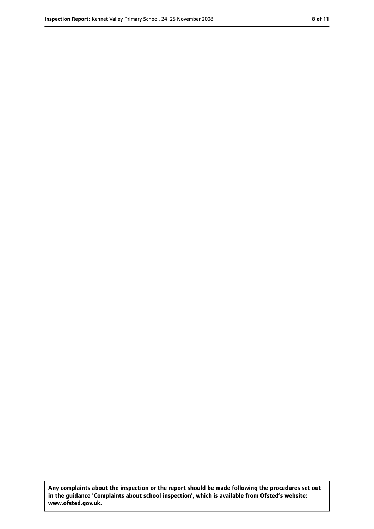**Any complaints about the inspection or the report should be made following the procedures set out in the guidance 'Complaints about school inspection', which is available from Ofsted's website: www.ofsted.gov.uk.**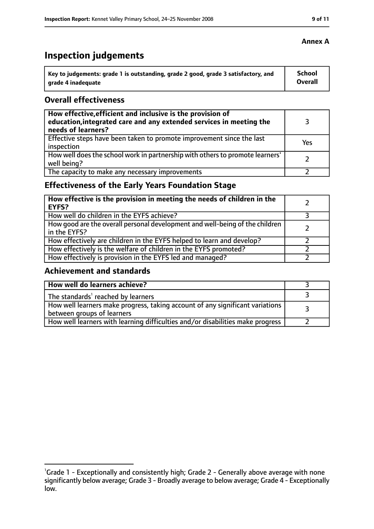# **Inspection judgements**

| \ Key to judgements: grade 1 is outstanding, grade 2 good, grade 3 satisfactory, and | <b>School</b>  |
|--------------------------------------------------------------------------------------|----------------|
| arade 4 inadequate                                                                   | <b>Overall</b> |

## **Overall effectiveness**

| How effective, efficient and inclusive is the provision of<br>education, integrated care and any extended services in meeting the<br>needs of learners? |     |
|---------------------------------------------------------------------------------------------------------------------------------------------------------|-----|
| Effective steps have been taken to promote improvement since the last<br>inspection                                                                     | Yes |
| How well does the school work in partnership with others to promote learners'<br>well being?                                                            |     |
| The capacity to make any necessary improvements                                                                                                         |     |

# **Effectiveness of the Early Years Foundation Stage**

| How effective is the provision in meeting the needs of children in the<br><b>EYFS?</b>       |  |
|----------------------------------------------------------------------------------------------|--|
| How well do children in the EYFS achieve?                                                    |  |
| How good are the overall personal development and well-being of the children<br>in the EYFS? |  |
| How effectively are children in the EYFS helped to learn and develop?                        |  |
| How effectively is the welfare of children in the EYFS promoted?                             |  |
| How effectively is provision in the EYFS led and managed?                                    |  |

## **Achievement and standards**

| How well do learners achieve?                                                                               |  |
|-------------------------------------------------------------------------------------------------------------|--|
| The standards <sup>1</sup> reached by learners                                                              |  |
| How well learners make progress, taking account of any significant variations<br>between groups of learners |  |
| How well learners with learning difficulties and/or disabilities make progress                              |  |

<sup>&</sup>lt;sup>1</sup>Grade 1 - Exceptionally and consistently high; Grade 2 - Generally above average with none significantly below average; Grade 3 - Broadly average to below average; Grade 4 - Exceptionally low.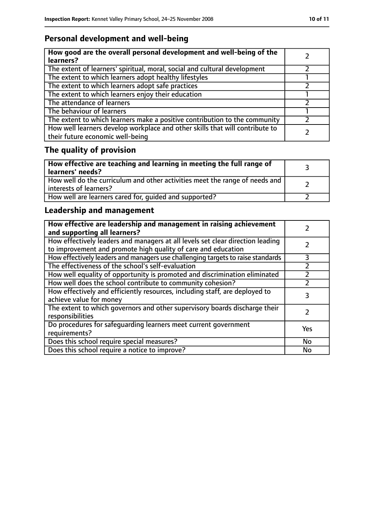# **Personal development and well-being**

| How good are the overall personal development and well-being of the<br>learners?                                 |  |
|------------------------------------------------------------------------------------------------------------------|--|
| The extent of learners' spiritual, moral, social and cultural development                                        |  |
| The extent to which learners adopt healthy lifestyles                                                            |  |
| The extent to which learners adopt safe practices                                                                |  |
| The extent to which learners enjoy their education                                                               |  |
| The attendance of learners                                                                                       |  |
| The behaviour of learners                                                                                        |  |
| The extent to which learners make a positive contribution to the community                                       |  |
| How well learners develop workplace and other skills that will contribute to<br>their future economic well-being |  |

# **The quality of provision**

| How effective are teaching and learning in meeting the full range of<br>learners' needs?              |  |
|-------------------------------------------------------------------------------------------------------|--|
| How well do the curriculum and other activities meet the range of needs and<br>interests of learners? |  |
| How well are learners cared for, quided and supported?                                                |  |

# **Leadership and management**

| How effective are leadership and management in raising achievement<br>and supporting all learners?                                              |     |
|-------------------------------------------------------------------------------------------------------------------------------------------------|-----|
| How effectively leaders and managers at all levels set clear direction leading<br>to improvement and promote high quality of care and education |     |
| How effectively leaders and managers use challenging targets to raise standards                                                                 | 3   |
| The effectiveness of the school's self-evaluation                                                                                               |     |
| How well equality of opportunity is promoted and discrimination eliminated                                                                      |     |
| How well does the school contribute to community cohesion?                                                                                      |     |
| How effectively and efficiently resources, including staff, are deployed to<br>achieve value for money                                          | 3   |
| The extent to which governors and other supervisory boards discharge their<br>responsibilities                                                  |     |
| Do procedures for safequarding learners meet current government<br>requirements?                                                                | Yes |
| Does this school require special measures?                                                                                                      | No  |
| Does this school require a notice to improve?                                                                                                   | No  |